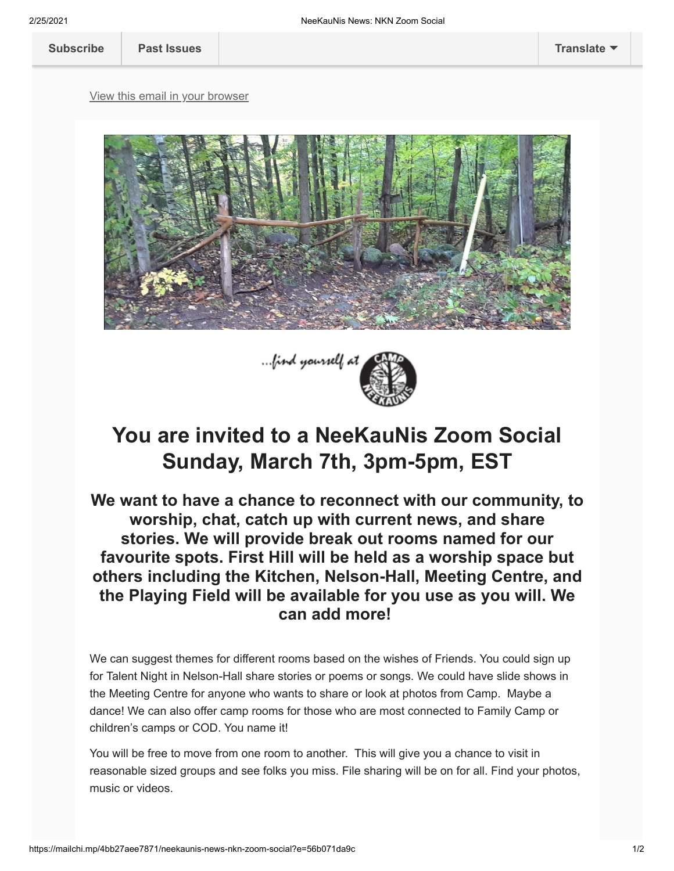[View this email in your browser](https://mailchi.mp/4bb27aee7871/neekaunis-news-nkn-zoom-social?e=56b071da9c)





## **You are invited to a NeeKauNis Zoom Social Sunday, March 7th, 3pm-5pm, EST**

**We want to have a chance to reconnect with our community, to worship, chat, catch up with current news, and share stories. We will provide break out rooms named for our favourite spots. First Hill will be held as a worship space but others including the Kitchen, Nelson-Hall, Meeting Centre, and the Playing Field will be available for you use as you will. We can add more!** 

We can suggest themes for different rooms based on the wishes of Friends. You could sign up for Talent Night in Nelson-Hall share stories or poems or songs. We could have slide shows in the Meeting Centre for anyone who wants to share or look at photos from Camp. Maybe a dance! We can also offer camp rooms for those who are most connected to Family Camp or children's camps or COD. You name it!

You will be free to move from one room to another. This will give you a chance to visit in reasonable sized groups and see folks you miss. File sharing will be on for all. Find your photos, music or videos.